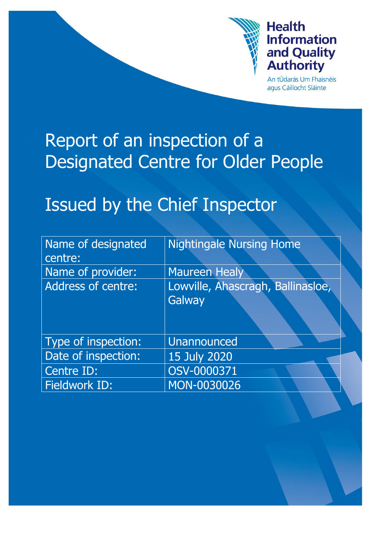

# **Health Information** and Quality<br>Authority

An tÚdarás Um Fhaisnéis agus Cáilíocht Sláinte

# Report of an inspection of a Designated Centre for Older People

# Issued by the Chief Inspector

| Name of designated<br>centre: | <b>Nightingale Nursing Home</b>   |
|-------------------------------|-----------------------------------|
| Name of provider:             | <b>Maureen Healy</b>              |
| <b>Address of centre:</b>     | Lowville, Ahascragh, Ballinasloe, |
|                               | Galway                            |
|                               |                                   |
| Type of inspection:           | Unannounced                       |
| Date of inspection:           | 15 July 2020                      |
| Centre ID:                    | OSV-0000371                       |
| Fieldwork ID:                 | MON-0030026                       |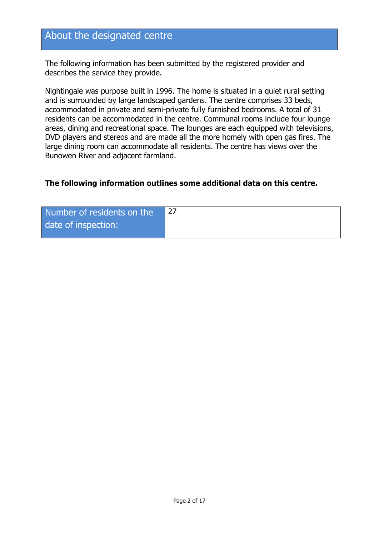## About the designated centre

The following information has been submitted by the registered provider and describes the service they provide.

Nightingale was purpose built in 1996. The home is situated in a quiet rural setting and is surrounded by large landscaped gardens. The centre comprises 33 beds, accommodated in private and semi-private fully furnished bedrooms. A total of 31 residents can be accommodated in the centre. Communal rooms include four lounge areas, dining and recreational space. The lounges are each equipped with televisions, DVD players and stereos and are made all the more homely with open gas fires. The large dining room can accommodate all residents. The centre has views over the Bunowen River and adjacent farmland.

#### **The following information outlines some additional data on this centre.**

| Number of residents on the |  |
|----------------------------|--|
| date of inspection:        |  |
|                            |  |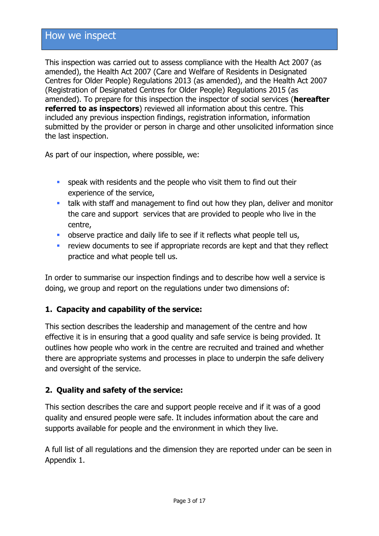## How we inspect

This inspection was carried out to assess compliance with the Health Act 2007 (as amended), the Health Act 2007 (Care and Welfare of Residents in Designated Centres for Older People) Regulations 2013 (as amended), and the Health Act 2007 (Registration of Designated Centres for Older People) Regulations 2015 (as amended). To prepare for this inspection the inspector of social services (**hereafter referred to as inspectors**) reviewed all information about this centre. This included any previous inspection findings, registration information, information submitted by the provider or person in charge and other unsolicited information since the last inspection.

As part of our inspection, where possible, we:

- speak with residents and the people who visit them to find out their experience of the service,
- talk with staff and management to find out how they plan, deliver and monitor the care and support services that are provided to people who live in the centre,
- observe practice and daily life to see if it reflects what people tell us,
- **F** review documents to see if appropriate records are kept and that they reflect practice and what people tell us.

In order to summarise our inspection findings and to describe how well a service is doing, we group and report on the regulations under two dimensions of:

#### **1. Capacity and capability of the service:**

This section describes the leadership and management of the centre and how effective it is in ensuring that a good quality and safe service is being provided. It outlines how people who work in the centre are recruited and trained and whether there are appropriate systems and processes in place to underpin the safe delivery and oversight of the service.

#### **2. Quality and safety of the service:**

This section describes the care and support people receive and if it was of a good quality and ensured people were safe. It includes information about the care and supports available for people and the environment in which they live.

A full list of all regulations and the dimension they are reported under can be seen in Appendix 1.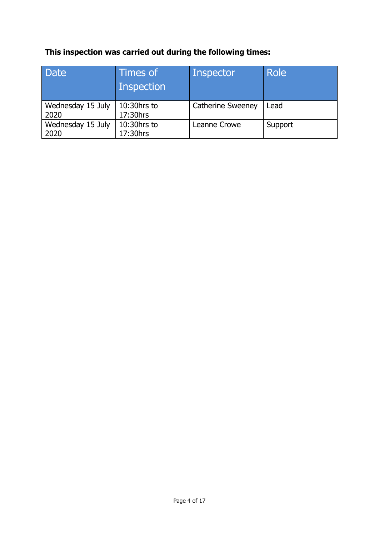## **This inspection was carried out during the following times:**

| <b>Date</b>               | Times of<br>Inspection  | <b>Inspector</b>         | Role    |
|---------------------------|-------------------------|--------------------------|---------|
| Wednesday 15 July<br>2020 | 10:30hrs to<br>17:30hrs | <b>Catherine Sweeney</b> | Lead    |
| Wednesday 15 July<br>2020 | 10:30hrs to<br>17:30hrs | Leanne Crowe             | Support |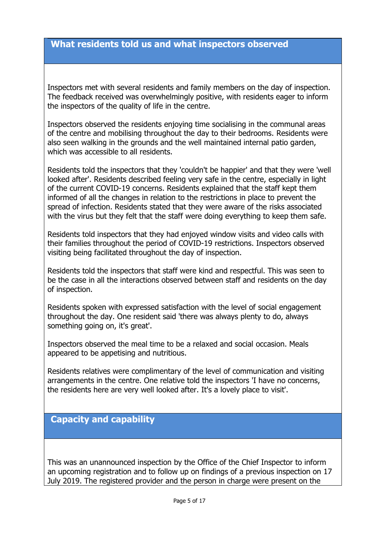#### **What residents told us and what inspectors observed**

Inspectors met with several residents and family members on the day of inspection. The feedback received was overwhelmingly positive, with residents eager to inform the inspectors of the quality of life in the centre.

Inspectors observed the residents enjoying time socialising in the communal areas of the centre and mobilising throughout the day to their bedrooms. Residents were also seen walking in the grounds and the well maintained internal patio garden, which was accessible to all residents.

Residents told the inspectors that they 'couldn't be happier' and that they were 'well looked after'. Residents described feeling very safe in the centre, especially in light of the current COVID-19 concerns. Residents explained that the staff kept them informed of all the changes in relation to the restrictions in place to prevent the spread of infection. Residents stated that they were aware of the risks associated with the virus but they felt that the staff were doing everything to keep them safe.

Residents told inspectors that they had enjoyed window visits and video calls with their families throughout the period of COVID-19 restrictions. Inspectors observed visiting being facilitated throughout the day of inspection.

Residents told the inspectors that staff were kind and respectful. This was seen to be the case in all the interactions observed between staff and residents on the day of inspection.

Residents spoken with expressed satisfaction with the level of social engagement throughout the day. One resident said 'there was always plenty to do, always something going on, it's great'.

Inspectors observed the meal time to be a relaxed and social occasion. Meals appeared to be appetising and nutritious.

Residents relatives were complimentary of the level of communication and visiting arrangements in the centre. One relative told the inspectors 'I have no concerns, the residents here are very well looked after. It's a lovely place to visit'.

### **Capacity and capability**

This was an unannounced inspection by the Office of the Chief Inspector to inform an upcoming registration and to follow up on findings of a previous inspection on 17 July 2019. The registered provider and the person in charge were present on the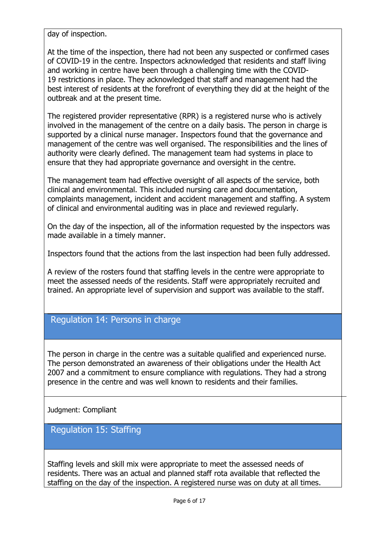day of inspection.

At the time of the inspection, there had not been any suspected or confirmed cases of COVID-19 in the centre. Inspectors acknowledged that residents and staff living and working in centre have been through a challenging time with the COVID-19 restrictions in place. They acknowledged that staff and management had the best interest of residents at the forefront of everything they did at the height of the outbreak and at the present time.

The registered provider representative (RPR) is a registered nurse who is actively involved in the management of the centre on a daily basis. The person in charge is supported by a clinical nurse manager. Inspectors found that the governance and management of the centre was well organised. The responsibilities and the lines of authority were clearly defined. The management team had systems in place to ensure that they had appropriate governance and oversight in the centre.

The management team had effective oversight of all aspects of the service, both clinical and environmental. This included nursing care and documentation, complaints management, incident and accident management and staffing. A system of clinical and environmental auditing was in place and reviewed regularly.

On the day of the inspection, all of the information requested by the inspectors was made available in a timely manner.

Inspectors found that the actions from the last inspection had been fully addressed.

A review of the rosters found that staffing levels in the centre were appropriate to meet the assessed needs of the residents. Staff were appropriately recruited and trained. An appropriate level of supervision and support was available to the staff.

## Regulation 14: Persons in charge

The person in charge in the centre was a suitable qualified and experienced nurse. The person demonstrated an awareness of their obligations under the Health Act 2007 and a commitment to ensure compliance with regulations. They had a strong presence in the centre and was well known to residents and their families.

Judgment: Compliant

#### Regulation 15: Staffing

Staffing levels and skill mix were appropriate to meet the assessed needs of residents. There was an actual and planned staff rota available that reflected the staffing on the day of the inspection. A registered nurse was on duty at all times.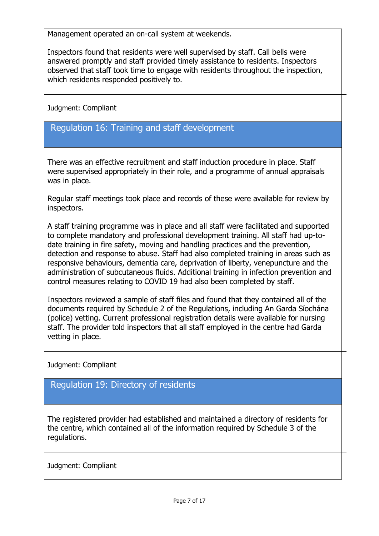Management operated an on-call system at weekends.

Inspectors found that residents were well supervised by staff. Call bells were answered promptly and staff provided timely assistance to residents. Inspectors observed that staff took time to engage with residents throughout the inspection, which residents responded positively to.

Judgment: Compliant

## Regulation 16: Training and staff development

There was an effective recruitment and staff induction procedure in place. Staff were supervised appropriately in their role, and a programme of annual appraisals was in place.

Regular staff meetings took place and records of these were available for review by inspectors.

A staff training programme was in place and all staff were facilitated and supported to complete mandatory and professional development training. All staff had up-todate training in fire safety, moving and handling practices and the prevention, detection and response to abuse. Staff had also completed training in areas such as responsive behaviours, dementia care, deprivation of liberty, venepuncture and the administration of subcutaneous fluids. Additional training in infection prevention and control measures relating to COVID 19 had also been completed by staff.

Inspectors reviewed a sample of staff files and found that they contained all of the documents required by Schedule 2 of the Regulations, including An Garda Síochána (police) vetting. Current professional registration details were available for nursing staff. The provider told inspectors that all staff employed in the centre had Garda vetting in place.

Judgment: Compliant

Regulation 19: Directory of residents

The registered provider had established and maintained a directory of residents for the centre, which contained all of the information required by Schedule 3 of the regulations.

Judgment: Compliant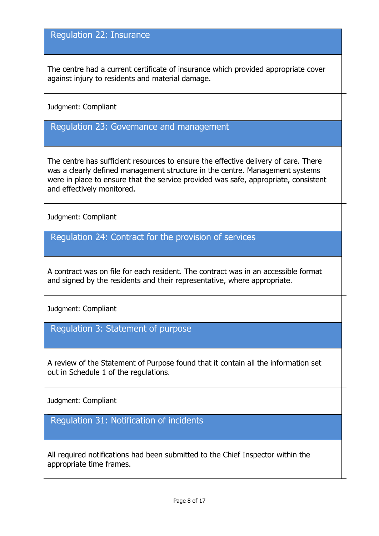### Regulation 22: Insurance

The centre had a current certificate of insurance which provided appropriate cover against injury to residents and material damage.

Judgment: Compliant

Regulation 23: Governance and management

The centre has sufficient resources to ensure the effective delivery of care. There was a clearly defined management structure in the centre. Management systems were in place to ensure that the service provided was safe, appropriate, consistent and effectively monitored.

Judgment: Compliant

Regulation 24: Contract for the provision of services

A contract was on file for each resident. The contract was in an accessible format and signed by the residents and their representative, where appropriate.

Judgment: Compliant

Regulation 3: Statement of purpose

A review of the Statement of Purpose found that it contain all the information set out in Schedule 1 of the regulations.

Judgment: Compliant

Regulation 31: Notification of incidents

All required notifications had been submitted to the Chief Inspector within the appropriate time frames.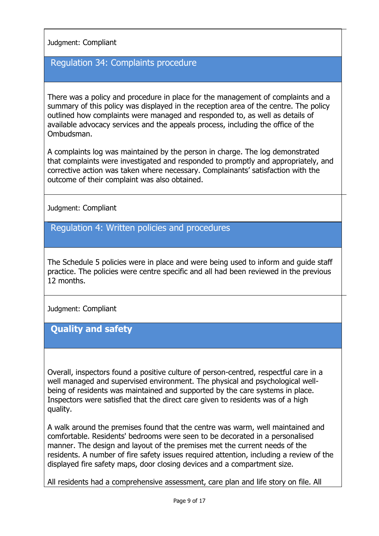#### Judgment: Compliant

#### Regulation 34: Complaints procedure

There was a policy and procedure in place for the management of complaints and a summary of this policy was displayed in the reception area of the centre. The policy outlined how complaints were managed and responded to, as well as details of available advocacy services and the appeals process, including the office of the Ombudsman.

A complaints log was maintained by the person in charge. The log demonstrated that complaints were investigated and responded to promptly and appropriately, and corrective action was taken where necessary. Complainants' satisfaction with the outcome of their complaint was also obtained.

Judgment: Compliant

Regulation 4: Written policies and procedures

The Schedule 5 policies were in place and were being used to inform and guide staff practice. The policies were centre specific and all had been reviewed in the previous 12 months.

Judgment: Compliant

## **Quality and safety**

Overall, inspectors found a positive culture of person-centred, respectful care in a well managed and supervised environment. The physical and psychological wellbeing of residents was maintained and supported by the care systems in place. Inspectors were satisfied that the direct care given to residents was of a high quality.

A walk around the premises found that the centre was warm, well maintained and comfortable. Residents' bedrooms were seen to be decorated in a personalised manner. The design and layout of the premises met the current needs of the residents. A number of fire safety issues required attention, including a review of the displayed fire safety maps, door closing devices and a compartment size.

All residents had a comprehensive assessment, care plan and life story on file. All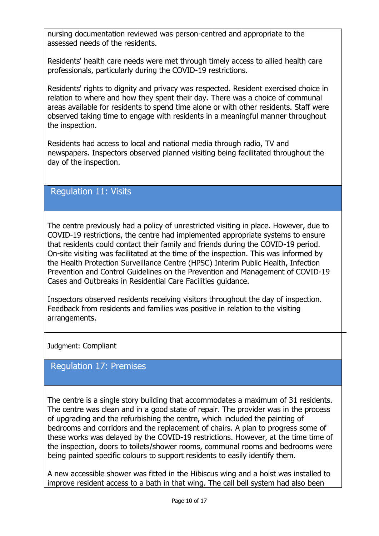nursing documentation reviewed was person-centred and appropriate to the assessed needs of the residents.

Residents' health care needs were met through timely access to allied health care professionals, particularly during the COVID-19 restrictions.

Residents' rights to dignity and privacy was respected. Resident exercised choice in relation to where and how they spent their day. There was a choice of communal areas available for residents to spend time alone or with other residents. Staff were observed taking time to engage with residents in a meaningful manner throughout the inspection.

Residents had access to local and national media through radio, TV and newspapers. Inspectors observed planned visiting being facilitated throughout the day of the inspection.

## Regulation 11: Visits

The centre previously had a policy of unrestricted visiting in place. However, due to COVID-19 restrictions, the centre had implemented appropriate systems to ensure that residents could contact their family and friends during the COVID-19 period. On-site visiting was facilitated at the time of the inspection. This was informed by the Health Protection Surveillance Centre (HPSC) Interim Public Health, Infection Prevention and Control Guidelines on the Prevention and Management of COVID-19 Cases and Outbreaks in Residential Care Facilities guidance.

Inspectors observed residents receiving visitors throughout the day of inspection. Feedback from residents and families was positive in relation to the visiting arrangements.

Judgment: Compliant

### Regulation 17: Premises

The centre is a single story building that accommodates a maximum of 31 residents. The centre was clean and in a good state of repair. The provider was in the process of upgrading and the refurbishing the centre, which included the painting of bedrooms and corridors and the replacement of chairs. A plan to progress some of these works was delayed by the COVID-19 restrictions. However, at the time time of the inspection, doors to toilets/shower rooms, communal rooms and bedrooms were being painted specific colours to support residents to easily identify them.

A new accessible shower was fitted in the Hibiscus wing and a hoist was installed to improve resident access to a bath in that wing. The call bell system had also been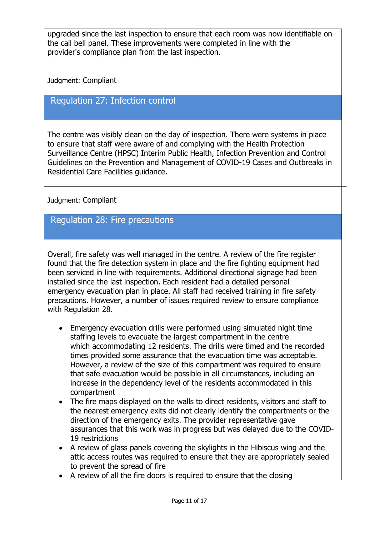upgraded since the last inspection to ensure that each room was now identifiable on the call bell panel. These improvements were completed in line with the provider's compliance plan from the last inspection.

Judgment: Compliant

#### Regulation 27: Infection control

The centre was visibly clean on the day of inspection. There were systems in place to ensure that staff were aware of and complying with the Health Protection Surveillance Centre (HPSC) Interim Public Health, Infection Prevention and Control Guidelines on the Prevention and Management of COVID-19 Cases and Outbreaks in Residential Care Facilities guidance.

Judgment: Compliant

#### Regulation 28: Fire precautions

Overall, fire safety was well managed in the centre. A review of the fire register found that the fire detection system in place and the fire fighting equipment had been serviced in line with requirements. Additional directional signage had been installed since the last inspection. Each resident had a detailed personal emergency evacuation plan in place. All staff had received training in fire safety precautions. However, a number of issues required review to ensure compliance with Regulation 28.

- Emergency evacuation drills were performed using simulated night time staffing levels to evacuate the largest compartment in the centre which accommodating 12 residents. The drills were timed and the recorded times provided some assurance that the evacuation time was acceptable. However, a review of the size of this compartment was required to ensure that safe evacuation would be possible in all circumstances, including an increase in the dependency level of the residents accommodated in this compartment
- The fire maps displayed on the walls to direct residents, visitors and staff to the nearest emergency exits did not clearly identify the compartments or the direction of the emergency exits. The provider representative gave assurances that this work was in progress but was delayed due to the COVID-19 restrictions
- A review of glass panels covering the skylights in the Hibiscus wing and the attic access routes was required to ensure that they are appropriately sealed to prevent the spread of fire
- A review of all the fire doors is required to ensure that the closing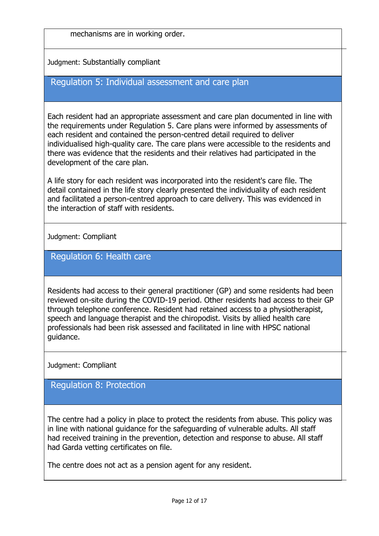mechanisms are in working order.

Judgment: Substantially compliant

## Regulation 5: Individual assessment and care plan

Each resident had an appropriate assessment and care plan documented in line with the requirements under Regulation 5. Care plans were informed by assessments of each resident and contained the person-centred detail required to deliver individualised high-quality care. The care plans were accessible to the residents and there was evidence that the residents and their relatives had participated in the development of the care plan.

A life story for each resident was incorporated into the resident's care file. The detail contained in the life story clearly presented the individuality of each resident and facilitated a person-centred approach to care delivery. This was evidenced in the interaction of staff with residents.

Judgment: Compliant

#### Regulation 6: Health care

Residents had access to their general practitioner (GP) and some residents had been reviewed on-site during the COVID-19 period. Other residents had access to their GP through telephone conference. Resident had retained access to a physiotherapist, speech and language therapist and the chiropodist. Visits by allied health care professionals had been risk assessed and facilitated in line with HPSC national guidance.

Judgment: Compliant

Regulation 8: Protection

The centre had a policy in place to protect the residents from abuse. This policy was in line with national guidance for the safeguarding of vulnerable adults. All staff had received training in the prevention, detection and response to abuse. All staff had Garda vetting certificates on file.

The centre does not act as a pension agent for any resident.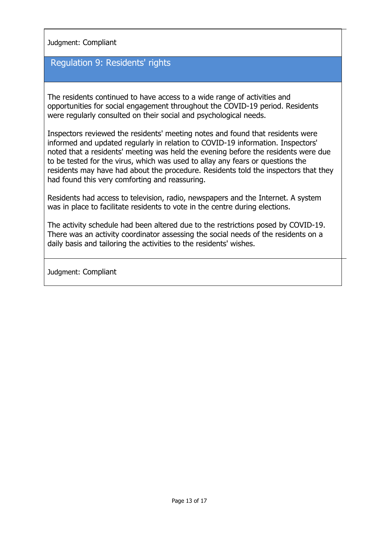Judgment: Compliant

#### Regulation 9: Residents' rights

The residents continued to have access to a wide range of activities and opportunities for social engagement throughout the COVID-19 period. Residents were regularly consulted on their social and psychological needs.

Inspectors reviewed the residents' meeting notes and found that residents were informed and updated regularly in relation to COVID-19 information. Inspectors' noted that a residents' meeting was held the evening before the residents were due to be tested for the virus, which was used to allay any fears or questions the residents may have had about the procedure. Residents told the inspectors that they had found this very comforting and reassuring.

Residents had access to television, radio, newspapers and the Internet. A system was in place to facilitate residents to vote in the centre during elections.

The activity schedule had been altered due to the restrictions posed by COVID-19. There was an activity coordinator assessing the social needs of the residents on a daily basis and tailoring the activities to the residents' wishes.

Judgment: Compliant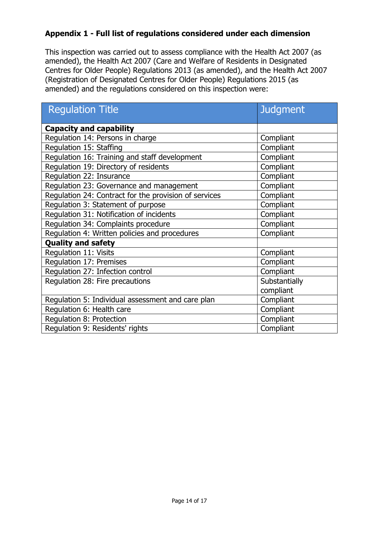#### **Appendix 1 - Full list of regulations considered under each dimension**

This inspection was carried out to assess compliance with the Health Act 2007 (as amended), the Health Act 2007 (Care and Welfare of Residents in Designated Centres for Older People) Regulations 2013 (as amended), and the Health Act 2007 (Registration of Designated Centres for Older People) Regulations 2015 (as amended) and the regulations considered on this inspection were:

| <b>Regulation Title</b>                               | <b>Judgment</b> |  |
|-------------------------------------------------------|-----------------|--|
| <b>Capacity and capability</b>                        |                 |  |
| Regulation 14: Persons in charge                      | Compliant       |  |
| Regulation 15: Staffing                               | Compliant       |  |
| Regulation 16: Training and staff development         | Compliant       |  |
| Regulation 19: Directory of residents                 | Compliant       |  |
| Regulation 22: Insurance                              | Compliant       |  |
| Regulation 23: Governance and management              | Compliant       |  |
| Regulation 24: Contract for the provision of services | Compliant       |  |
| Regulation 3: Statement of purpose                    | Compliant       |  |
| Regulation 31: Notification of incidents              | Compliant       |  |
| Regulation 34: Complaints procedure                   | Compliant       |  |
| Regulation 4: Written policies and procedures         | Compliant       |  |
| <b>Quality and safety</b>                             |                 |  |
| <b>Regulation 11: Visits</b>                          | Compliant       |  |
| Regulation 17: Premises                               | Compliant       |  |
| Regulation 27: Infection control                      | Compliant       |  |
| Regulation 28: Fire precautions                       | Substantially   |  |
|                                                       | compliant       |  |
| Regulation 5: Individual assessment and care plan     | Compliant       |  |
| Regulation 6: Health care                             | Compliant       |  |
| Regulation 8: Protection                              | Compliant       |  |
| Regulation 9: Residents' rights                       | Compliant       |  |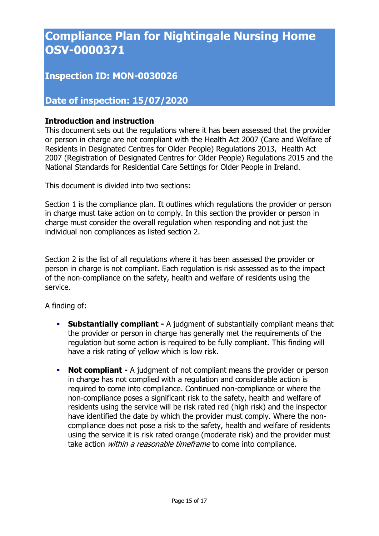## **Compliance Plan for Nightingale Nursing Home OSV-0000371**

## **Inspection ID: MON-0030026**

## **Date of inspection: 15/07/2020**

#### **Introduction and instruction**

This document sets out the regulations where it has been assessed that the provider or person in charge are not compliant with the Health Act 2007 (Care and Welfare of Residents in Designated Centres for Older People) Regulations 2013, Health Act 2007 (Registration of Designated Centres for Older People) Regulations 2015 and the National Standards for Residential Care Settings for Older People in Ireland.

This document is divided into two sections:

Section 1 is the compliance plan. It outlines which regulations the provider or person in charge must take action on to comply. In this section the provider or person in charge must consider the overall regulation when responding and not just the individual non compliances as listed section 2.

Section 2 is the list of all regulations where it has been assessed the provider or person in charge is not compliant. Each regulation is risk assessed as to the impact of the non-compliance on the safety, health and welfare of residents using the service.

A finding of:

- **Substantially compliant -** A judgment of substantially compliant means that the provider or person in charge has generally met the requirements of the regulation but some action is required to be fully compliant. This finding will have a risk rating of yellow which is low risk.
- **Not compliant -** A judgment of not compliant means the provider or person in charge has not complied with a regulation and considerable action is required to come into compliance. Continued non-compliance or where the non-compliance poses a significant risk to the safety, health and welfare of residents using the service will be risk rated red (high risk) and the inspector have identified the date by which the provider must comply. Where the noncompliance does not pose a risk to the safety, health and welfare of residents using the service it is risk rated orange (moderate risk) and the provider must take action *within a reasonable timeframe* to come into compliance.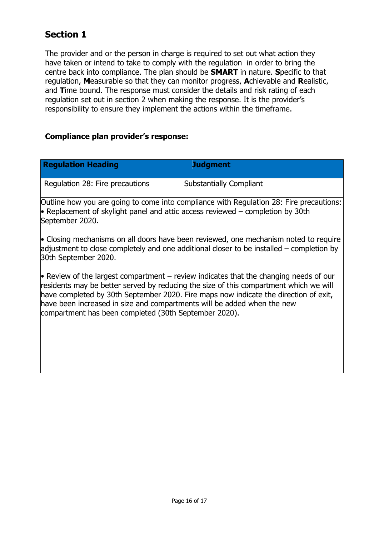## **Section 1**

The provider and or the person in charge is required to set out what action they have taken or intend to take to comply with the regulation in order to bring the centre back into compliance. The plan should be **SMART** in nature. **S**pecific to that regulation, **M**easurable so that they can monitor progress, **A**chievable and **R**ealistic, and **T**ime bound. The response must consider the details and risk rating of each regulation set out in section 2 when making the response. It is the provider's responsibility to ensure they implement the actions within the timeframe.

#### **Compliance plan provider's response:**

| <b>Regulation Heading</b>       | <b>Judgment</b>                                                                         |
|---------------------------------|-----------------------------------------------------------------------------------------|
| Regulation 28: Fire precautions | <b>Substantially Compliant</b>                                                          |
|                                 | Outline how you are going to come into compliance with Regulation 28: Fire precautions: |

• Replacement of skylight panel and attic access reviewed – completion by 30th September 2020.

• Closing mechanisms on all doors have been reviewed, one mechanism noted to require adjustment to close completely and one additional closer to be installed – completion by 30th September 2020.

 $\bullet$  Review of the largest compartment – review indicates that the changing needs of our residents may be better served by reducing the size of this compartment which we will have completed by 30th September 2020. Fire maps now indicate the direction of exit, have been increased in size and compartments will be added when the new compartment has been completed (30th September 2020).